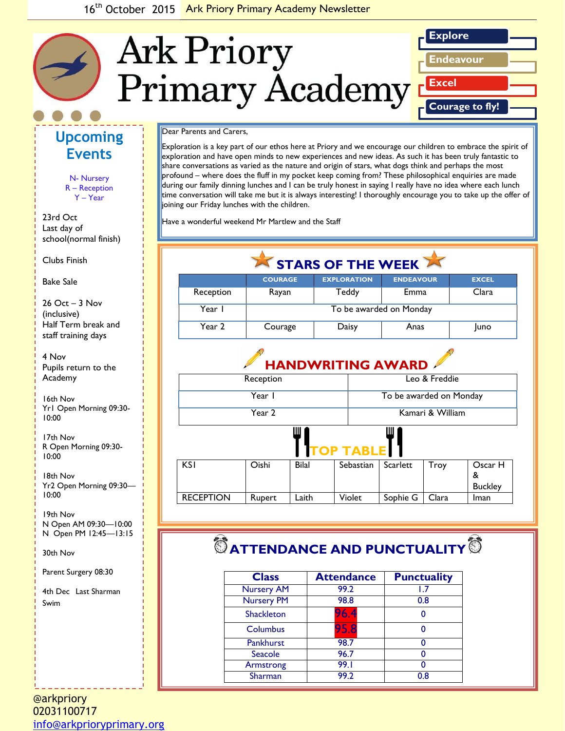

#### Dear Parents and Carers,

Exploration is a key part of our ethos here at Priory and we encourage our children to embrace the spirit of exploration and have open minds to new experiences and new ideas. As such it has been truly fantastic to share conversations as varied as the nature and origin of stars, what dogs think and perhaps the most profound – where does the fluff in my pocket keep coming from? These philosophical enquiries are made during our family dinning lunches and I can be truly honest in saying I really have no idea where each lunch time conversation will take me but it is always interesting! I thoroughly encourage you to take up the offer of joining our Friday lunches with the children.

Have a wonderful weekend Mr Martlew and the Staff

| STARS OF THE WEEK |                         |                          |                         |              |  |
|-------------------|-------------------------|--------------------------|-------------------------|--------------|--|
|                   | <b>COURAGE</b>          | <b>EXPLORATION</b>       | <b>ENDEAVOUR</b>        | <b>EXCEL</b> |  |
| Reception         | Rayan                   | Teddy                    | Emma                    | Clara        |  |
| Year I            | To be awarded on Monday |                          |                         |              |  |
| Year 2            | Courage                 | Daisy                    | Anas                    | <b>Juno</b>  |  |
|                   |                         | <b>HANDWRITING AWARD</b> |                         |              |  |
| Reception         |                         |                          | Leo & Freddie           |              |  |
| Year I            |                         |                          | To be awarded on Monday |              |  |
| Year 2            |                         |                          | Kamari & William        |              |  |

|                  |        | Ш            | <b>TOP TABLE</b> | Ш        |       |                                |
|------------------|--------|--------------|------------------|----------|-------|--------------------------------|
| <b>KSI</b>       | Oishi  | <b>Bilal</b> | Sebastian        | Scarlett | Troy  | Oscar H<br>&<br><b>Buckley</b> |
| <b>RECEPTION</b> | Rupert | Laith        | Violet           | Sophie G | Clara | Iman                           |

# $\bullet$  ATTENDANCE AND PUNCTUALITY<sup>®</sup>

| <b>Class</b>      | <b>Attendance</b> | <b>Punctuality</b> |
|-------------------|-------------------|--------------------|
| <b>Nursery AM</b> | 99.2              |                    |
| <b>Nursery PM</b> | 98.8              | 0.8                |
| <b>Shackleton</b> | 96.4              | 0                  |
| Columbus          | 95.8              |                    |
| <b>Pankhurst</b>  | 98.7              |                    |
| Seacole           | 96.7              |                    |
| Armstrong         | 99.I              |                    |
| Sharman           | 99.2              | 0.8                |

**Upcoming Events**

> N- Nursery R – Reception Y – Year

23rd Oct Last day of school(normal finish)

*Caption describing*  Clubs Finish

*picture or graphic.* Bake Sale

26 Oct – 3 Nov (inclusive) Half Term break and staff training days

4 Nov Pupils return to the Academy

16th Nov Yr1 Open Morning 09:30- 10:00

17th Nov R Open Morning 09:30- 10:00

18th Nov Yr2 Open Morning 09:30— 10:00

19th Nov N Open AM 09:30—10:00 N Open PM 12:45—13:15

30th Nov

Parent Surgery 08:30

4th Dec Last Sharman Swim

@arkpriory 02031100717 [info@arkprioryprimary.org](mailto:info@arkprioryprimary.org)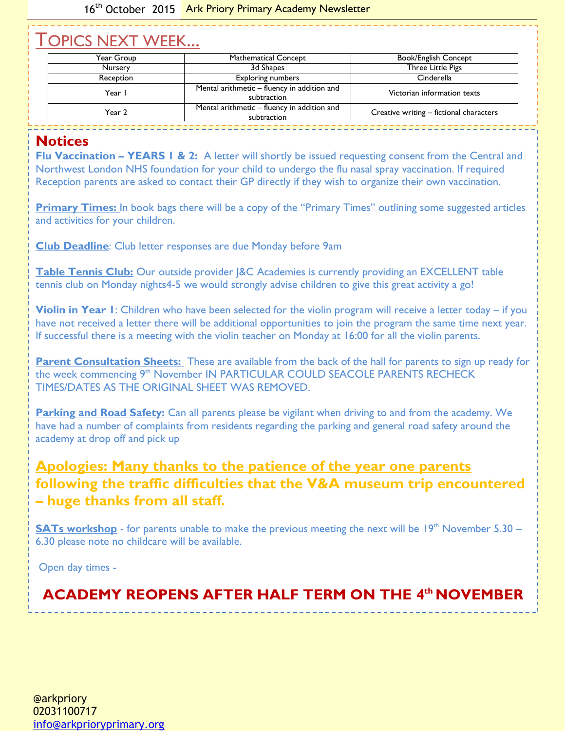## TOPICS NEXT WEEK...

| Year Group       | Mathematical Concept                                       | Book/English Concept                    |
|------------------|------------------------------------------------------------|-----------------------------------------|
| <b>Nursery</b>   | 3d Shapes                                                  | Three Little Pigs                       |
| <b>Reception</b> | <b>Exploring numbers</b>                                   | Cinderella                              |
| Year I           | Mental arithmetic - fluency in addition and<br>subtraction | Victorian information texts             |
| Year 2           | Mental arithmetic - fluency in addition and<br>subtraction | Creative writing - fictional characters |

#### **Notices**

**Flu Vaccination – YEARS 1 & 2:** A letter will shortly be issued requesting consent from the Central and Northwest London NHS foundation for your child to undergo the flu nasal spray vaccination. If required Reception parents are asked to contact their GP directly if they wish to organize their own vaccination.

**Primary Times:** In book bags there will be a copy of the "Primary Times" outlining some suggested articles and activities for your children.

**Club Deadline**: Club letter responses are due Monday before 9am

**Table Tennis Club:** Our outside provider |&C Academies is currently providing an EXCELLENT table tennis club on Monday nights4-5 we would strongly advise children to give this great activity a go!

**Violin in Year 1**: Children who have been selected for the violin program will receive a letter today – if you have not received a letter there will be additional opportunities to join the program the same time next year. If successful there is a meeting with the violin teacher on Monday at 16:00 for all the violin parents.

**Parent Consultation Sheets:** These are available from the back of the hall for parents to sign up ready for the week commencing 9<sup>th</sup> November IN PARTICULAR COULD SEACOLE PARENTS RECHECK TIMES/DATES AS THE ORIGINAL SHEET WAS REMOVED.

**Parking and Road Safety:** Can all parents please be vigilant when driving to and from the academy. We have had a number of complaints from residents regarding the parking and general road safety around the academy at drop off and pick up

### **Apologies: Many thanks to the patience of the year one parents following the traffic difficulties that the V&A museum trip encountered – huge thanks from all staff.**

**SATs workshop** - for parents unable to make the previous meeting the next will be  $19<sup>th</sup>$  November 5.30 – 6.30 please note no childcare will be available.

Open day times -

### **ACADEMY REOPENS AFTER HALF TERM ON THE 4 th NOVEMBER**